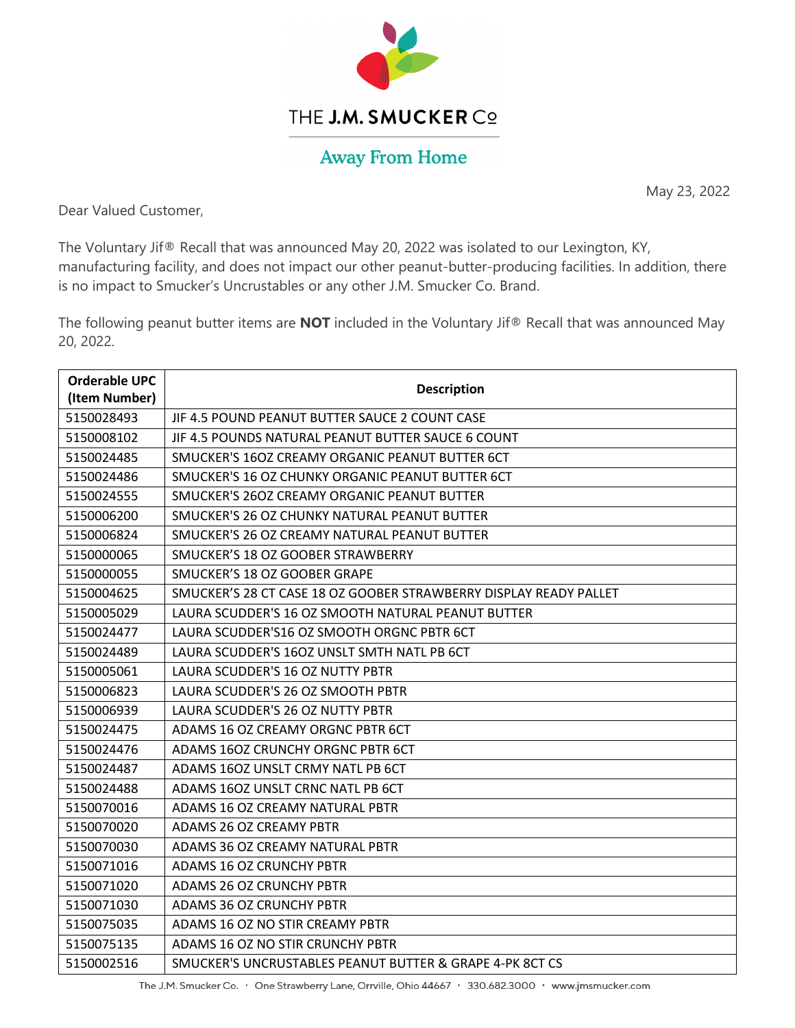

## THE J.M. SMUCKER CO

## **Away From Home**

May 23, 2022

Dear Valued Customer,

The Voluntary Jif® Recall that was announced May 20, 2022 was isolated to our Lexington, KY, manufacturing facility, and does not impact our other peanut-butter-producing facilities. In addition, there is no impact to Smucker's Uncrustables or any other J.M. Smucker Co. Brand.

The following peanut butter items are **NOT** included in the Voluntary Jif® Recall that was announced May 20, 2022.

| <b>Orderable UPC</b><br>(Item Number) | <b>Description</b>                                                |
|---------------------------------------|-------------------------------------------------------------------|
| 5150028493                            | JIF 4.5 POUND PEANUT BUTTER SAUCE 2 COUNT CASE                    |
| 5150008102                            | JIF 4.5 POUNDS NATURAL PEANUT BUTTER SAUCE 6 COUNT                |
| 5150024485                            | SMUCKER'S 16OZ CREAMY ORGANIC PEANUT BUTTER 6CT                   |
| 5150024486                            | SMUCKER'S 16 OZ CHUNKY ORGANIC PEANUT BUTTER 6CT                  |
| 5150024555                            | SMUCKER'S 260Z CREAMY ORGANIC PEANUT BUTTER                       |
| 5150006200                            | SMUCKER'S 26 OZ CHUNKY NATURAL PEANUT BUTTER                      |
| 5150006824                            | SMUCKER'S 26 OZ CREAMY NATURAL PEANUT BUTTER                      |
| 5150000065                            | SMUCKER'S 18 OZ GOOBER STRAWBERRY                                 |
| 5150000055                            | SMUCKER'S 18 OZ GOOBER GRAPE                                      |
| 5150004625                            | SMUCKER'S 28 CT CASE 18 OZ GOOBER STRAWBERRY DISPLAY READY PALLET |
| 5150005029                            | LAURA SCUDDER'S 16 OZ SMOOTH NATURAL PEANUT BUTTER                |
| 5150024477                            | LAURA SCUDDER'S16 OZ SMOOTH ORGNC PBTR 6CT                        |
| 5150024489                            | LAURA SCUDDER'S 160Z UNSLT SMTH NATL PB 6CT                       |
| 5150005061                            | LAURA SCUDDER'S 16 OZ NUTTY PBTR                                  |
| 5150006823                            | LAURA SCUDDER'S 26 OZ SMOOTH PBTR                                 |
| 5150006939                            | LAURA SCUDDER'S 26 OZ NUTTY PBTR                                  |
| 5150024475                            | ADAMS 16 OZ CREAMY ORGNC PBTR 6CT                                 |
| 5150024476                            | ADAMS 160Z CRUNCHY ORGNC PBTR 6CT                                 |
| 5150024487                            | ADAMS 16OZ UNSLT CRMY NATL PB 6CT                                 |
| 5150024488                            | ADAMS 160Z UNSLT CRNC NATL PB 6CT                                 |
| 5150070016                            | ADAMS 16 OZ CREAMY NATURAL PBTR                                   |
| 5150070020                            | ADAMS 26 OZ CREAMY PBTR                                           |
| 5150070030                            | ADAMS 36 OZ CREAMY NATURAL PBTR                                   |
| 5150071016                            | <b>ADAMS 16 OZ CRUNCHY PBTR</b>                                   |
| 5150071020                            | <b>ADAMS 26 OZ CRUNCHY PBTR</b>                                   |
| 5150071030                            | <b>ADAMS 36 OZ CRUNCHY PBTR</b>                                   |
| 5150075035                            | ADAMS 16 OZ NO STIR CREAMY PBTR                                   |
| 5150075135                            | ADAMS 16 OZ NO STIR CRUNCHY PBTR                                  |
| 5150002516                            | SMUCKER'S UNCRUSTABLES PEANUT BUTTER & GRAPE 4-PK 8CT CS          |

The J.M. Smucker Co. • One Strawberry Lane, Orrville, Ohio 44667 • 330.682.3000 • www.jmsmucker.com